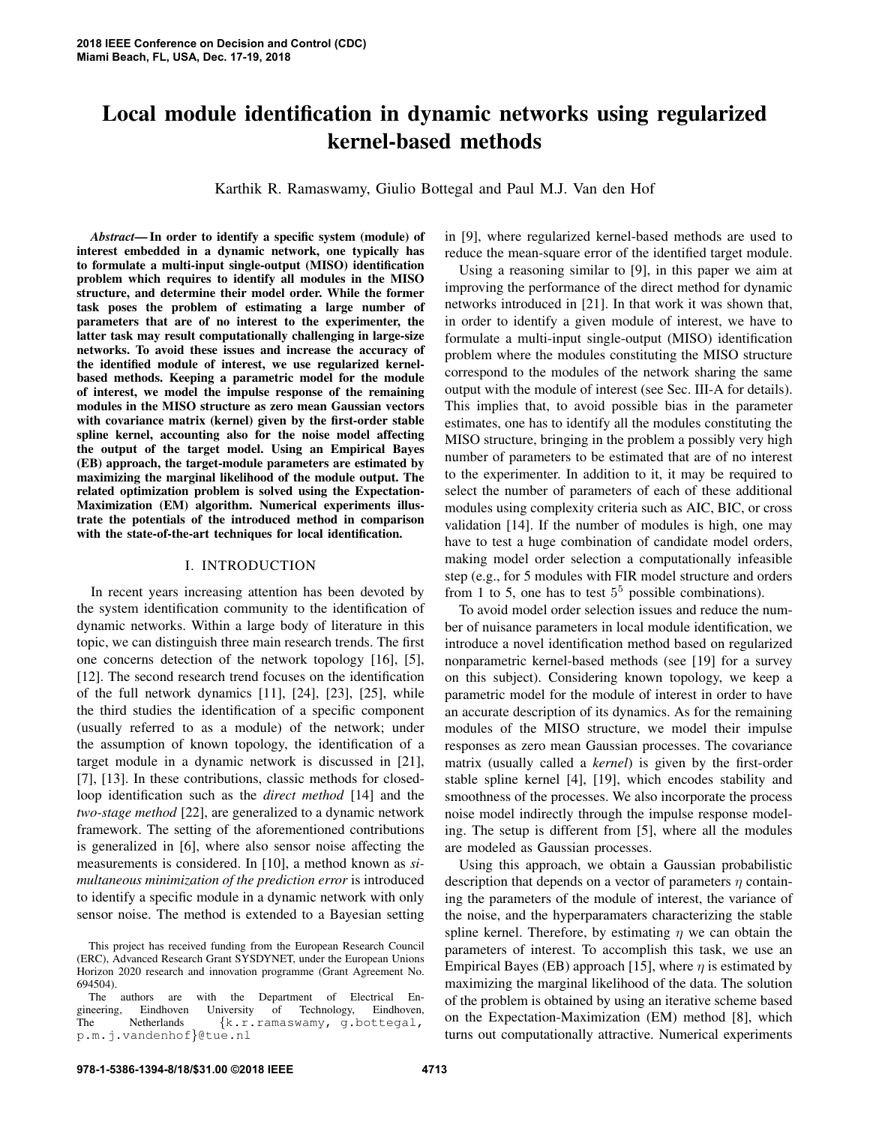# Local module identification in dynamic networks using regularized kernel-based methods

Karthik R. Ramaswamy, Giulio Bottegal and Paul M.J. Van den Hof

*Abstract*— In order to identify a specific system (module) of interest embedded in a dynamic network, one typically has to formulate a multi-input single-output (MISO) identification problem which requires to identify all modules in the MISO structure, and determine their model order. While the former task poses the problem of estimating a large number of parameters that are of no interest to the experimenter, the latter task may result computationally challenging in large-size networks. To avoid these issues and increase the accuracy of the identified module of interest, we use regularized kernelbased methods. Keeping a parametric model for the module of interest, we model the impulse response of the remaining modules in the MISO structure as zero mean Gaussian vectors with covariance matrix (kernel) given by the first-order stable spline kernel, accounting also for the noise model affecting the output of the target model. Using an Empirical Bayes (EB) approach, the target-module parameters are estimated by maximizing the marginal likelihood of the module output. The related optimization problem is solved using the Expectation-Maximization (EM) algorithm. Numerical experiments illustrate the potentials of the introduced method in comparison with the state-of-the-art techniques for local identification.

## I. INTRODUCTION

In recent years increasing attention has been devoted by the system identification community to the identification of dynamic networks. Within a large body of literature in this topic, we can distinguish three main research trends. The first one concerns detection of the network topology [16], [5], [12]. The second research trend focuses on the identification of the full network dynamics [11], [24], [23], [25], while the third studies the identification of a specific component (usually referred to as a module) of the network; under the assumption of known topology, the identification of a target module in a dynamic network is discussed in [21], [7], [13]. In these contributions, classic methods for closedloop identification such as the *direct method* [14] and the *two-stage method* [22], are generalized to a dynamic network framework. The setting of the aforementioned contributions is generalized in [6], where also sensor noise affecting the measurements is considered. In [10], a method known as *simultaneous minimization of the prediction error* is introduced to identify a specific module in a dynamic network with only sensor noise. The method is extended to a Bayesian setting

in [9], where regularized kernel-based methods are used to reduce the mean-square error of the identified target module.

Using a reasoning similar to [9], in this paper we aim at improving the performance of the direct method for dynamic networks introduced in [21]. In that work it was shown that, in order to identify a given module of interest, we have to formulate a multi-input single-output (MISO) identification problem where the modules constituting the MISO structure correspond to the modules of the network sharing the same output with the module of interest (see Sec. III-A for details). This implies that, to avoid possible bias in the parameter estimates, one has to identify all the modules constituting the MISO structure, bringing in the problem a possibly very high number of parameters to be estimated that are of no interest to the experimenter. In addition to it, it may be required to select the number of parameters of each of these additional modules using complexity criteria such as AIC, BIC, or cross validation [14]. If the number of modules is high, one may have to test a huge combination of candidate model orders, making model order selection a computationally infeasible step (e.g., for 5 modules with FIR model structure and orders from 1 to 5, one has to test  $5^5$  possible combinations).

To avoid model order selection issues and reduce the number of nuisance parameters in local module identification, we introduce a novel identification method based on regularized nonparametric kernel-based methods (see [19] for a survey on this subject). Considering known topology, we keep a parametric model for the module of interest in order to have an accurate description of its dynamics. As for the remaining modules of the MISO structure, we model their impulse responses as zero mean Gaussian processes. The covariance matrix (usually called a *kernel*) is given by the first-order stable spline kernel [4], [19], which encodes stability and smoothness of the processes. We also incorporate the process noise model indirectly through the impulse response modeling. The setup is different from [5], where all the modules are modeled as Gaussian processes.

Using this approach, we obtain a Gaussian probabilistic description that depends on a vector of parameters  $\eta$  containing the parameters of the module of interest, the variance of the noise, and the hyperparamaters characterizing the stable spline kernel. Therefore, by estimating  $\eta$  we can obtain the parameters of interest. To accomplish this task, we use an Empirical Bayes (EB) approach [15], where  $\eta$  is estimated by maximizing the marginal likelihood of the data. The solution of the problem is obtained by using an iterative scheme based on the Expectation-Maximization (EM) method [8], which turns out computationally attractive. Numerical experiments

This project has received funding from the European Research Council (ERC), Advanced Research Grant SYSDYNET, under the European Unions Horizon 2020 research and innovation programme (Grant Agreement No. 694504).

authors are with the Department of Electrical Eng. Eindhoven University of Technology, Eindhoven, gineering, Eindhoven University of Technology, Eindhoven,<br>The Netherlands {k,r,ramaswamy, g,bottega}.  $\{k.r.\ramma\}$ , g.bottegal, p.m.j.vandenhof}@tue.nl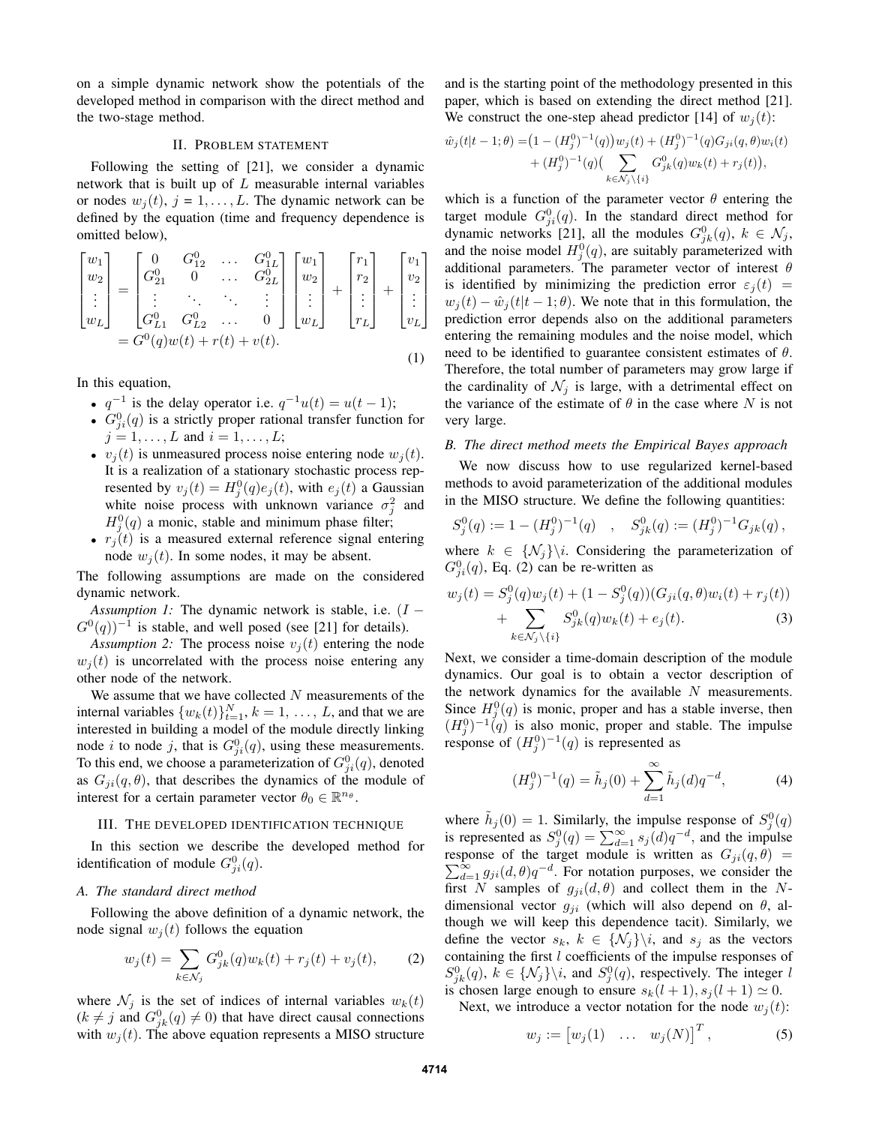on a simple dynamic network show the potentials of the developed method in comparison with the direct method and the two-stage method.

## II. PROBLEM STATEMENT

Following the setting of [21], we consider a dynamic network that is built up of  $L$  measurable internal variables or nodes  $w_i(t)$ ,  $j = 1, \ldots, L$ . The dynamic network can be defined by the equation (time and frequency dependence is omitted below),

$$
\begin{bmatrix} w_1 \\ w_2 \\ \vdots \\ w_L \end{bmatrix} = \begin{bmatrix} 0 & G_{12}^0 & \dots & G_{1L}^0 \\ G_{21}^0 & 0 & \dots & G_{2L}^0 \\ \vdots & \ddots & \ddots & \vdots \\ G_{L1}^0 & G_{L2}^0 & \dots & 0 \end{bmatrix} \begin{bmatrix} w_1 \\ w_2 \\ \vdots \\ w_L \end{bmatrix} + \begin{bmatrix} r_1 \\ r_2 \\ \vdots \\ r_L \end{bmatrix} + \begin{bmatrix} v_1 \\ v_2 \\ \vdots \\ v_L \end{bmatrix}
$$

$$
= G^0(q)w(t) + r(t) + v(t).
$$
 (1)

In this equation,

- $q^{-1}$  is the delay operator i.e.  $q^{-1}u(t) = u(t-1)$ ;
- $G_{ji}^{0}(q)$  is a strictly proper rational transfer function for  $j = 1, ..., L$  and  $i = 1, ..., L$ ;
- $v_i(t)$  is unmeasured process noise entering node  $w_i(t)$ . It is a realization of a stationary stochastic process represented by  $v_j(t) = H_j^0(q)e_j(t)$ , with  $e_j(t)$  a Gaussian white noise process with unknown variance  $\sigma_j^2$  and  $H_j^0(q)$  a monic, stable and minimum phase filter;
- $r_i(t)$  is a measured external reference signal entering node  $w_i(t)$ . In some nodes, it may be absent.

The following assumptions are made on the considered dynamic network.

*Assumption 1:* The dynamic network is stable, i.e. (*I* −  $G^{0}(q)$ <sup>-1</sup> is stable, and well posed (see [21] for details).

*Assumption 2:* The process noise  $v_i(t)$  entering the node  $w_i(t)$  is uncorrelated with the process noise entering any other node of the network.

We assume that we have collected  $N$  measurements of the internal variables  $\{w_k(t)\}_{k=1}^N$ ,  $k=1,\ldots,L$ , and that we are interested in building a model of the module directly linking node *i* to node *j*, that is  $G_{ji}^0(q)$ , using these measurements. To this end, we choose a parameterization of  $G_{ji}^0(q)$ , denoted as  $G_{ji}(q, \theta)$ , that describes the dynamics of the module of interest for a certain parameter vector  $\theta_0 \in \mathbb{R}^{n_\theta}$ .

## III. THE DEVELOPED IDENTIFICATION TECHNIQUE

In this section we describe the developed method for identification of module  $G_{ji}^0(q)$ .

# *A. The standard direct method*

Following the above definition of a dynamic network, the node signal  $w_i(t)$  follows the equation

$$
w_j(t) = \sum_{k \in \mathcal{N}_j} G_{jk}^0(q) w_k(t) + r_j(t) + v_j(t), \qquad (2)
$$

where  $\mathcal{N}_j$  is the set of indices of internal variables  $w_k(t)$  $(k \neq j$  and  $G_{jk}^0(q) \neq 0)$  that have direct causal connections with  $w_i(t)$ . The above equation represents a MISO structure and is the starting point of the methodology presented in this paper, which is based on extending the direct method [21]. We construct the one-step ahead predictor [14] of  $w_i(t)$ :

$$
\hat{w}_j(t|t-1;\theta) = (1 - (H_j^0)^{-1}(q))w_j(t) + (H_j^0)^{-1}(q)G_{ji}(q,\theta)w_i(t) \n+ (H_j^0)^{-1}(q)\left(\sum_{k \in \mathcal{N}_j \setminus \{i\}} G_{jk}^0(q)w_k(t) + r_j(t)\right),
$$

which is a function of the parameter vector  $\theta$  entering the target module  $G_{ji}^0(q)$ . In the standard direct method for dynamic networks [21], all the modules  $G_{jk}^0(q)$ ,  $k \in \mathcal{N}_j$ , and the noise model  $H_j^0(q)$ , are suitably parameterized with additional parameters. The parameter vector of interest  $\theta$ is identified by minimizing the prediction error  $\varepsilon_j(t)$  =  $w_i(t) - \hat{w}_i(t|t-1;\theta)$ . We note that in this formulation, the prediction error depends also on the additional parameters entering the remaining modules and the noise model, which need to be identified to guarantee consistent estimates of  $\theta$ . Therefore, the total number of parameters may grow large if the cardinality of  $\mathcal{N}_j$  is large, with a detrimental effect on the variance of the estimate of  $\theta$  in the case where N is not very large.

## *B. The direct method meets the Empirical Bayes approach*

We now discuss how to use regularized kernel-based methods to avoid parameterization of the additional modules in the MISO structure. We define the following quantities:

$$
S_j^0(q) := 1 - (H_j^0)^{-1}(q) \quad , \quad S_{jk}^0(q) := (H_j^0)^{-1} G_{jk}(q) \,,
$$

where  $k \in \{N_j\}$  Considering the parameterization of  $G_{ji}^0(q)$ , Eq. (2) can be re-written as

$$
w_j(t) = S_j^0(q)w_j(t) + (1 - S_j^0(q))(G_{ji}(q, \theta)w_i(t) + r_j(t))
$$
  
+ 
$$
\sum_{k \in \mathcal{N}_j \backslash \{i\}} S_{jk}^0(q)w_k(t) + e_j(t).
$$
 (3)

Next, we consider a time-domain description of the module dynamics. Our goal is to obtain a vector description of the network dynamics for the available  $N$  measurements. Since  $H_j^0(q)$  is monic, proper and has a stable inverse, then  $(H_j^0)^{-1}(q)$  is also monic, proper and stable. The impulse response of  $(H_j^0)^{-1}(q)$  is represented as

$$
(H_j^0)^{-1}(q) = \tilde{h}_j(0) + \sum_{d=1}^{\infty} \tilde{h}_j(d) q^{-d},
$$
 (4)

where  $\tilde{h}_j(0) = 1$ . Similarly, the impulse response of  $S_j^0(q)$ is represented as  $S_j^0(q) = \sum_{d=1}^{\infty} s_j(d)q^{-d}$ , and the impulse response of the target module is written as P ponse of the target module is written as  $G_{ji}(q, \theta) = \sum_{d=1}^{\infty} g_{ji}(d, \theta) q^{-d}$ . For notation purposes, we consider the first N samples of  $g_{ji}(d, \theta)$  and collect them in the Ndimensional vector  $g_{ji}$  (which will also depend on  $\theta$ , although we will keep this dependence tacit). Similarly, we define the vector  $s_k$ ,  $k \in \{N_i\} \backslash i$ , and  $s_j$  as the vectors containing the first l coefficients of the impulse responses of  $S_{jk}^{0}(q)$ ,  $k \in \{N_j\} \backslash i$ , and  $S_j^{0}(q)$ , respectively. The integer l is chosen large enough to ensure  $s_k(l + 1), s_j(l + 1) \simeq 0$ .

Next, we introduce a vector notation for the node  $w_j(t)$ :

$$
w_j := [w_j(1) \quad \dots \quad w_j(N)]^T, \tag{5}
$$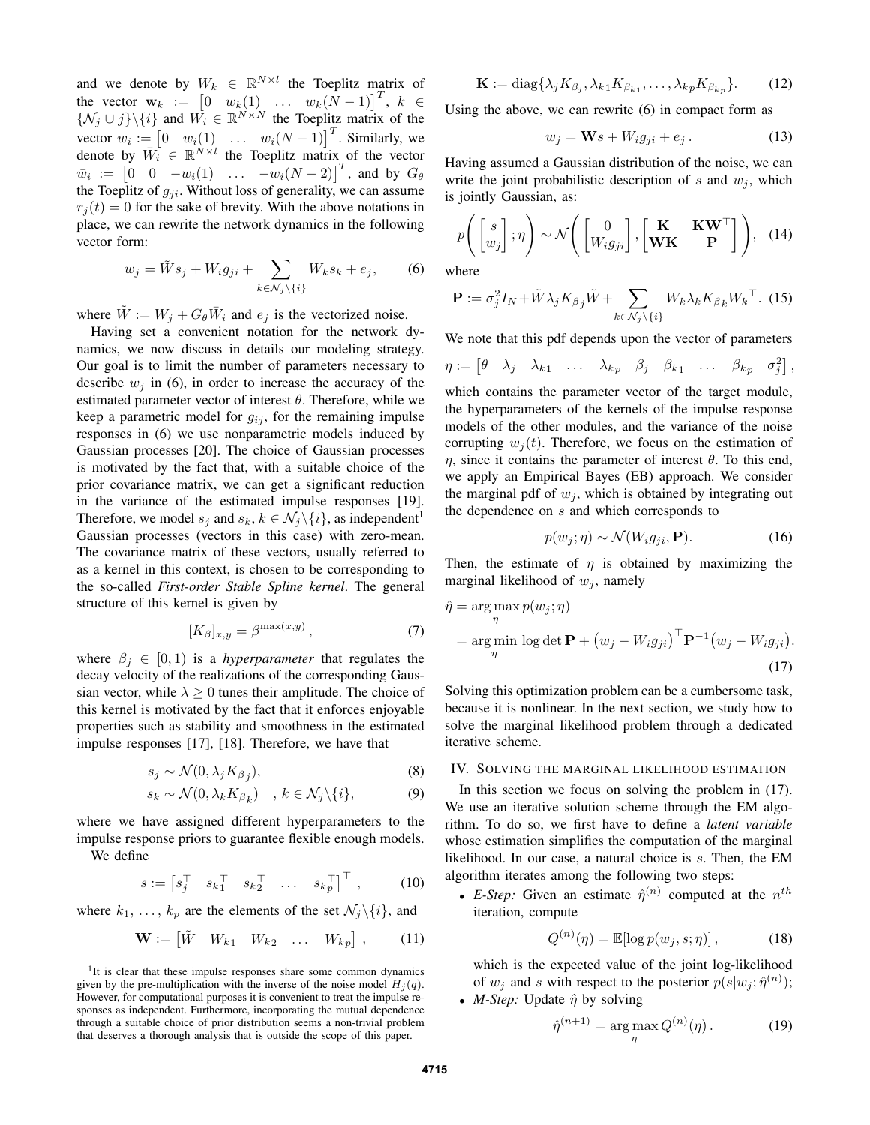and we denote by  $W_k \in \mathbb{R}^{N \times l}$  the Toeplitz matrix of the vector  $\mathbf{w}_k := \begin{bmatrix} 0 & w_k(1) & \dots & w_k(N-1) \end{bmatrix}^T$ ,  $k \in$  $\{N_j \cup j\} \setminus \{i\}$  and  $W_i \in \mathbb{R}^{N \times N}$  the Toeplitz matrix of the vector  $w_i := \begin{bmatrix} 0 & w_i(1) & \dots & w_i(N-1) \end{bmatrix}^T$ . Similarly, we denote by  $\overline{W}_i \in \mathbb{R}^{\overline{N} \times l}$  the Toeplitz matrix of the vector  $\bar{w}_i := \begin{bmatrix} 0 & 0 & -w_i(1) & \dots & -w_i(N-2) \end{bmatrix}^T$ , and by  $G_\theta$ the Toeplitz of  $g_{ji}$ . Without loss of generality, we can assume  $r_i(t) = 0$  for the sake of brevity. With the above notations in place, we can rewrite the network dynamics in the following vector form:

$$
w_j = \tilde{W}s_j + W_i g_{ji} + \sum_{k \in \mathcal{N}_j \setminus \{i\}} W_k s_k + e_j, \qquad (6)
$$

where  $\tilde{W} := W_j + G_{\theta} \overline{W}_i$  and  $e_j$  is the vectorized noise.

Having set a convenient notation for the network dynamics, we now discuss in details our modeling strategy. Our goal is to limit the number of parameters necessary to describe  $w_i$  in (6), in order to increase the accuracy of the estimated parameter vector of interest  $\theta$ . Therefore, while we keep a parametric model for  $g_{ij}$ , for the remaining impulse responses in (6) we use nonparametric models induced by Gaussian processes [20]. The choice of Gaussian processes is motivated by the fact that, with a suitable choice of the prior covariance matrix, we can get a significant reduction in the variance of the estimated impulse responses [19]. Therefore, we model  $s_j$  and  $s_k$ ,  $k \in \mathcal{N}_j \backslash \{i\}$ , as independent<sup>1</sup> Gaussian processes (vectors in this case) with zero-mean. The covariance matrix of these vectors, usually referred to as a kernel in this context, is chosen to be corresponding to the so-called *First-order Stable Spline kernel*. The general structure of this kernel is given by

$$
[K_{\beta}]_{x,y} = \beta^{\max(x,y)},\tag{7}
$$

where  $\beta_i \in [0, 1)$  is a *hyperparameter* that regulates the decay velocity of the realizations of the corresponding Gaussian vector, while  $\lambda \geq 0$  tunes their amplitude. The choice of this kernel is motivated by the fact that it enforces enjoyable properties such as stability and smoothness in the estimated impulse responses [17], [18]. Therefore, we have that

$$
s_j \sim \mathcal{N}(0, \lambda_j K_{\beta_j}),\tag{8}
$$

$$
s_k \sim \mathcal{N}(0, \lambda_k K_{\beta_k}) \quad , k \in \mathcal{N}_j \backslash \{i\}, \tag{9}
$$

where we have assigned different hyperparameters to the impulse response priors to guarantee flexible enough models. We define

$$
s := \begin{bmatrix} s_j^\top & s_k^\top & s_k^\top & \dots & s_k^\top \end{bmatrix}^\top , \quad (10)
$$

where  $k_1, \ldots, k_p$  are the elements of the set  $\mathcal{N}_j \setminus \{i\}$ , and

$$
\mathbf{W} := \begin{bmatrix} \tilde{W} & W_{k1} & W_{k2} & \dots & W_{kp} \end{bmatrix}, \quad (11)
$$

$$
\mathbf{K} := \text{diag}\{\lambda_j K_{\beta_j}, \lambda_{k1} K_{\beta_{k1}}, \dots, \lambda_{kp} K_{\beta_{k_p}}\}.
$$
 (12)

Using the above, we can rewrite (6) in compact form as

$$
w_j = \mathbf{W}s + W_i g_{ji} + e_j. \tag{13}
$$

Having assumed a Gaussian distribution of the noise, we can write the joint probabilistic description of s and  $w_i$ , which is jointly Gaussian, as:

$$
p\left(\begin{bmatrix} s \\ w_j \end{bmatrix}; \eta\right) \sim \mathcal{N}\left(\begin{bmatrix} 0 \\ W_i g_{ji} \end{bmatrix}, \begin{bmatrix} \mathbf{K} & \mathbf{K} \mathbf{W}^\top \\ \mathbf{W} \mathbf{K} & \mathbf{P} \end{bmatrix}\right), (14)
$$

where

$$
\mathbf{P} := \sigma_j^2 I_N + \tilde{W} \lambda_j K_{\beta_j} \tilde{W} + \sum_{k \in \mathcal{N}_j \backslash \{i\}} W_k \lambda_k K_{\beta_k} W_k^{\top}.
$$
 (15)

We note that this pdf depends upon the vector of parameters

$$
\eta := \begin{bmatrix} \theta & \lambda_j & \lambda_{k1} & \dots & \lambda_{kp} & \beta_j & \beta_{k1} & \dots & \beta_{kp} & \sigma_j^2 \end{bmatrix},
$$

which contains the parameter vector of the target module, the hyperparameters of the kernels of the impulse response models of the other modules, and the variance of the noise corrupting  $w_i(t)$ . Therefore, we focus on the estimation of  $η$ , since it contains the parameter of interest  $θ$ . To this end, we apply an Empirical Bayes (EB) approach. We consider the marginal pdf of  $w_i$ , which is obtained by integrating out the dependence on s and which corresponds to

$$
p(w_j; \eta) \sim \mathcal{N}(W_i g_{ji}, \mathbf{P}). \tag{16}
$$

Then, the estimate of  $\eta$  is obtained by maximizing the marginal likelihood of  $w_i$ , namely

$$
\hat{\eta} = \underset{\eta}{\arg \max} p(w_j; \eta)
$$
  
= 
$$
\underset{\eta}{\arg \min} \log \det \mathbf{P} + (w_j - W_i g_{ji})^{\top} \mathbf{P}^{-1} (w_j - W_i g_{ji}).
$$
 (17)

Solving this optimization problem can be a cumbersome task, because it is nonlinear. In the next section, we study how to solve the marginal likelihood problem through a dedicated iterative scheme.

# IV. SOLVING THE MARGINAL LIKELIHOOD ESTIMATION

In this section we focus on solving the problem in (17). We use an iterative solution scheme through the EM algorithm. To do so, we first have to define a *latent variable* whose estimation simplifies the computation of the marginal likelihood. In our case, a natural choice is s. Then, the EM algorithm iterates among the following two steps:

• *E-Step:* Given an estimate  $\hat{\eta}^{(n)}$  computed at the  $n^{th}$ iteration, compute

$$
Q^{(n)}(\eta) = \mathbb{E}[\log p(w_j, s; \eta)],\tag{18}
$$

which is the expected value of the joint log-likelihood of  $w_j$  and s with respect to the posterior  $p(s|w_j; \hat{\eta}^{(n)})$ ; • *M-Step:* Update  $\hat{\eta}$  by solving

$$
\hat{\eta}^{(n+1)} = \underset{\eta}{\arg\max} Q^{(n)}(\eta). \tag{19}
$$

<sup>&</sup>lt;sup>1</sup>It is clear that these impulse responses share some common dynamics given by the pre-multiplication with the inverse of the noise model  $H_j(q)$ . However, for computational purposes it is convenient to treat the impulse responses as independent. Furthermore, incorporating the mutual dependence through a suitable choice of prior distribution seems a non-trivial problem that deserves a thorough analysis that is outside the scope of this paper.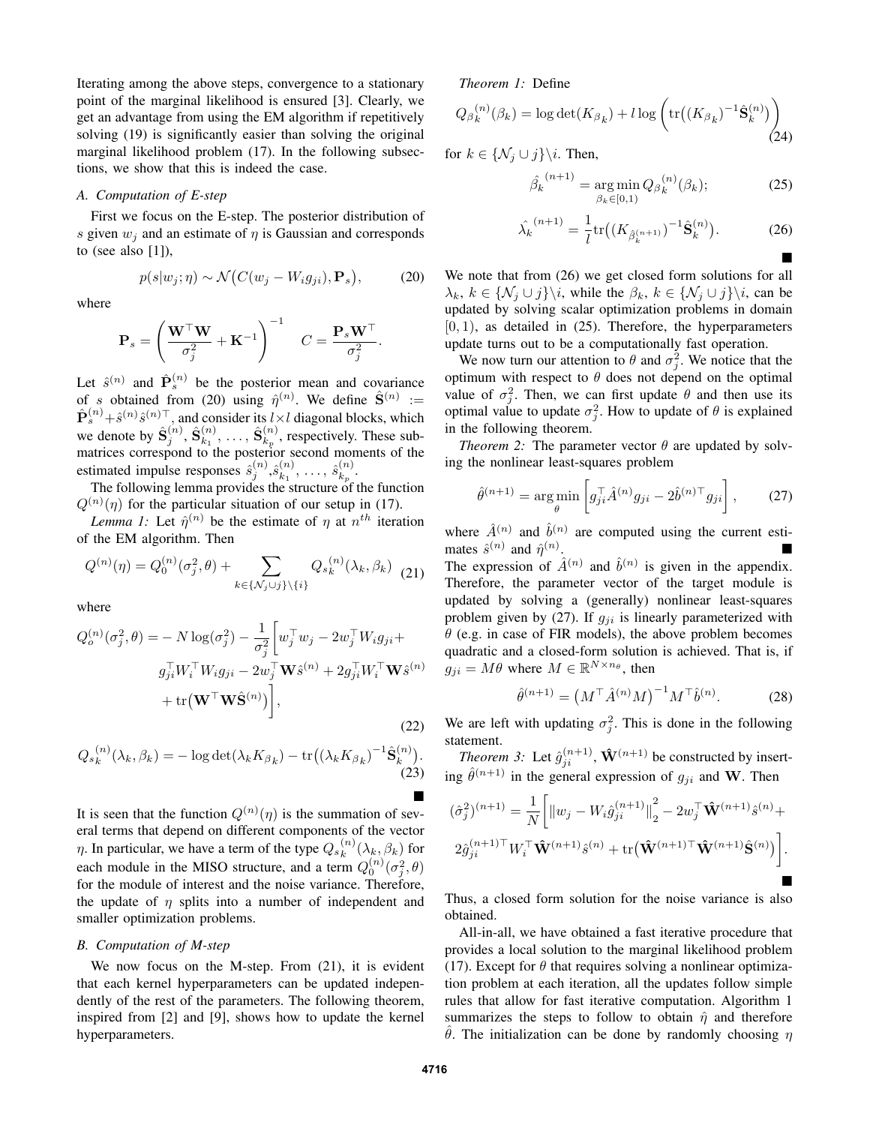Iterating among the above steps, convergence to a stationary point of the marginal likelihood is ensured [3]. Clearly, we get an advantage from using the EM algorithm if repetitively solving (19) is significantly easier than solving the original marginal likelihood problem (17). In the following subsections, we show that this is indeed the case.

# *A. Computation of E-step*

First we focus on the E-step. The posterior distribution of s given  $w_i$  and an estimate of  $\eta$  is Gaussian and corresponds to (see also  $[1]$ ),

 $p(s|w_j;\eta) \sim \mathcal{N}(C(w_j - W_i g_{ji}), \mathbf{P}_s)$ 

where

$$
\mathbf{P}_s = \left(\frac{\mathbf{W}^\top \mathbf{W}}{\sigma_j^2} + \mathbf{K}^{-1}\right)^{-1} \quad C = \frac{\mathbf{P}_s \mathbf{W}^\top}{\sigma_j^2}.
$$

Let  $\hat{s}^{(n)}$  and  $\hat{\mathbf{P}}_s^{(n)}$  be the posterior mean and covariance of s obtained from (20) using  $\hat{\eta}^{(n)}$ . We define  $\hat{\mathbf{S}}^{(n)}$  :=  $\hat{\mathbf{P}}_s^{(n)} + \hat{s}^{(n)}\hat{s}^{(n)\top}$ , and consider its  $l \times l$  diagonal blocks, which we denote by  $\hat{\mathbf{S}}_{j}^{(n)}$ ,  $\hat{\mathbf{S}}_{k_1}^{(n)}$  $\hat{\mathbf{s}}_{k_{1}}^{(n)},\,\ldots,\,\hat{\mathbf{S}}_{k_{p}}^{(n)}$  $k_p^{(n)}$ , respectively. These submatrices correspond to the posterior second moments of the estimated impulse responses  $\hat{s}_j^{(n)}, \hat{s}_{k_1}^{(n)}$  $\binom{n}{k_1},\ \ldots,\ \hat{s}_{k_p}^{(n)}$  $\genfrac(){0pt}{1}{n}{k_p}.$ 

The following lemma provides the structure of the function  $Q^{(n)}(\eta)$  for the particular situation of our setup in (17).

*Lemma 1:* Let  $\hat{\eta}^{(n)}$  be the estimate of  $\eta$  at  $n^{th}$  iteration of the EM algorithm. Then

$$
Q^{(n)}(\eta) = Q_0^{(n)}(\sigma_j^2, \theta) + \sum_{k \in \{\mathcal{N}_j \cup j\} \setminus \{i\}} Q_s^{(n)}(\lambda_k, \beta_k)
$$
(21)

where

$$
Q_o^{(n)}(\sigma_j^2, \theta) = -N \log(\sigma_j^2) - \frac{1}{\sigma_j^2} \left[ w_j^\top w_j - 2w_j^\top W_i g_{ji} + g_{ji}^\top W_i^\top W_i g_{ji} - 2w_j^\top \mathbf{W} \hat{s}^{(n)} + 2g_{ji}^\top W_i^\top \mathbf{W} \hat{s}^{(n)} + \text{tr}(\mathbf{W}^\top \mathbf{W} \hat{\mathbf{S}}^{(n)}) \right],
$$
\n(22)

$$
Q_{s_k}^{(n)}(\lambda_k, \beta_k) = -\log \det(\lambda_k K_{\beta_k}) - \text{tr}\big((\lambda_k K_{\beta_k})^{-1} \hat{\mathbf{S}}_k^{(n)}\big).
$$
\n(23)

It is seen that the function  $Q^{(n)}(\eta)$  is the summation of several terms that depend on different components of the vector  $\eta$ . In particular, we have a term of the type  $Q_{s_k}^{(n)}$  $\binom{n}{k}(\lambda_k,\beta_k)$  for each module in the MISO structure, and a term  $Q_0^{(n)}(\sigma_j^2, \theta)$ for the module of interest and the noise variance. Therefore, the update of  $\eta$  splits into a number of independent and smaller optimization problems.

# *B. Computation of M-step*

We now focus on the M-step. From (21), it is evident that each kernel hyperparameters can be updated independently of the rest of the parameters. The following theorem, inspired from [2] and [9], shows how to update the kernel hyperparameters.

# *Theorem 1:* Define

$$
Q_{\beta_k}^{(n)}(\beta_k) = \log \det(K_{\beta_k}) + l \log \left( \text{tr}\big((K_{\beta_k})^{-1}\hat{\mathbf{S}}_k^{(n)}\big)\right)
$$
(24)

for  $k \in \{ \mathcal{N}_j \cup j \} \backslash i$ . Then,

 $(20)$ 

$$
\hat{\beta_k}^{(n+1)} = \underset{\beta_k \in [0,1)}{\arg \min} Q_{\beta_k}^{(n)}(\beta_k); \tag{25}
$$

$$
\hat{\lambda_k}^{(n+1)} = \frac{1}{l} \text{tr} \big( (K_{\hat{\beta}_k^{(n+1)}})^{-1} \hat{\mathbf{S}}_k^{(n)} \big). \tag{26}
$$

We note that from (26) we get closed form solutions for all  $\lambda_k, k \in \{N_j \cup j\} \backslash i$ , while the  $\beta_k, k \in \{N_j \cup j\} \backslash i$ , can be updated by solving scalar optimization problems in domain  $[0, 1)$ , as detailed in  $(25)$ . Therefore, the hyperparameters update turns out to be a computationally fast operation.

We now turn our attention to  $\theta$  and  $\sigma_j^2$ . We notice that the optimum with respect to  $\theta$  does not depend on the optimal value of  $\sigma_j^2$ . Then, we can first update  $\theta$  and then use its optimal value to update  $\sigma_j^2$ . How to update of  $\theta$  is explained in the following theorem.

*Theorem 2:* The parameter vector  $\theta$  are updated by solving the nonlinear least-squares problem

$$
\hat{\theta}^{(n+1)} = \underset{\theta}{\arg\min} \left[ g_{ji}^{\top} \hat{A}^{(n)} g_{ji} - 2\hat{b}^{(n)\top} g_{ji} \right],\tag{27}
$$

where  $\hat{A}^{(n)}$  and  $\hat{b}^{(n)}$  are computed using the current estimates  $\hat{s}^{(n)}$  and  $\hat{\eta}^{(n)}$ .

The expression of  $\hat{A}^{(n)}$  and  $\hat{b}^{(n)}$  is given in the appendix. Therefore, the parameter vector of the target module is updated by solving a (generally) nonlinear least-squares problem given by (27). If  $g_{ji}$  is linearly parameterized with  $\theta$  (e.g. in case of FIR models), the above problem becomes quadratic and a closed-form solution is achieved. That is, if  $g_{ji} = M\theta$  where  $M \in \mathbb{R}^{N \times n_\theta}$ , then

$$
\hat{\theta}^{(n+1)} = (M^{\top} \hat{A}^{(n)} M)^{-1} M^{\top} \hat{b}^{(n)}.
$$
 (28)

We are left with updating  $\sigma_j^2$ . This is done in the following statement.

*Theorem 3:* Let  $\hat{g}_{ji}^{(n+1)}$ ,  $\mathbf{\hat{W}}^{(n+1)}$  be constructed by inserting  $\hat{\theta}^{(n+1)}$  in the general expression of  $g_{ji}$  and W. Then

$$
(\hat{\sigma}_j^2)^{(n+1)} = \frac{1}{N} \bigg[ \|w_j - W_i \hat{g}_{ji}^{(n+1)}\|_2^2 - 2w_j^{\top} \hat{\mathbf{W}}^{(n+1)} \hat{s}^{(n)} + 2\hat{g}_{ji}^{(n+1)\top} W_i^{\top} \hat{\mathbf{W}}^{(n+1)} \hat{s}^{(n)} + \text{tr}(\hat{\mathbf{W}}^{(n+1)\top} \hat{\mathbf{W}}^{(n+1)} \hat{\mathbf{S}}^{(n)}) \bigg].
$$

Thus, a closed form solution for the noise variance is also obtained.

All-in-all, we have obtained a fast iterative procedure that provides a local solution to the marginal likelihood problem (17). Except for  $\theta$  that requires solving a nonlinear optimization problem at each iteration, all the updates follow simple rules that allow for fast iterative computation. Algorithm 1 summarizes the steps to follow to obtain  $\hat{\eta}$  and therefore θ. The initialization can be done by randomly choosing  $η$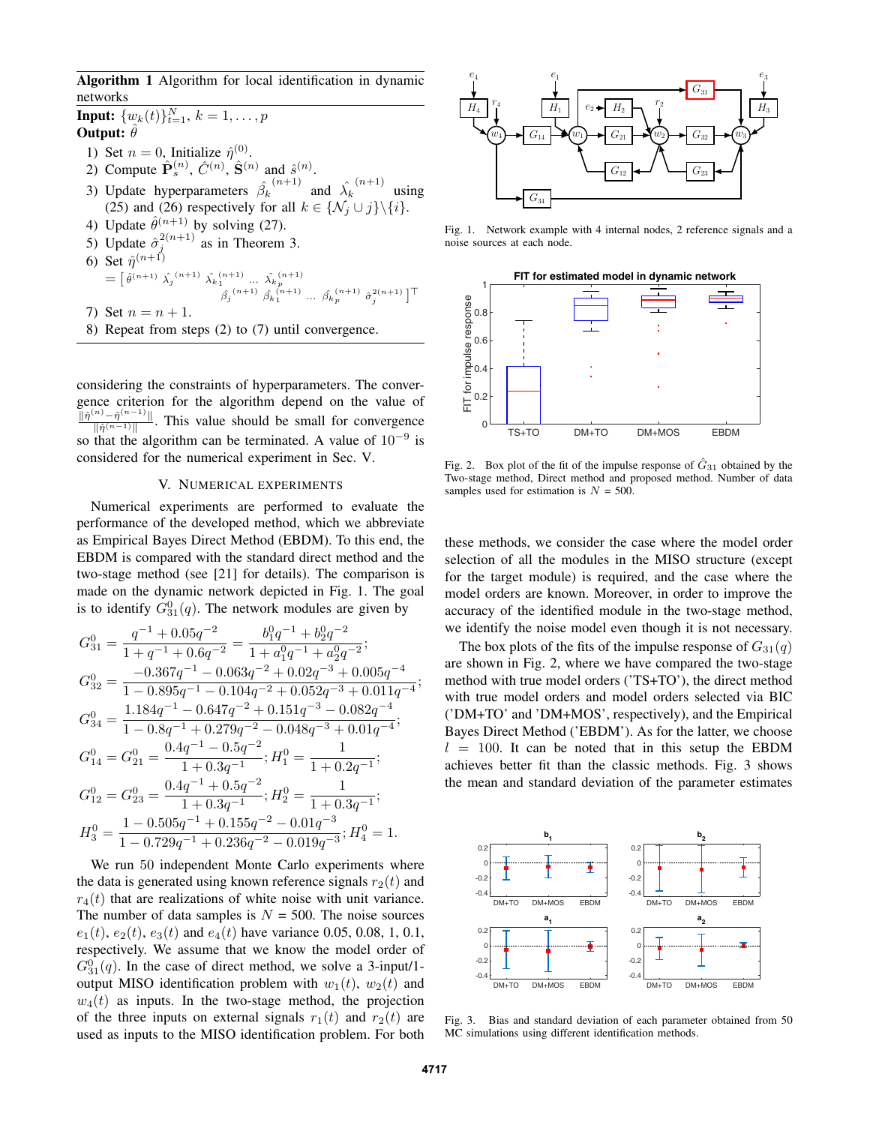Algorithm 1 Algorithm for local identification in dynamic networks

**Input:**  $\{w_k(t)\}_{t=1}^N$ ,  $k = 1, \ldots, p$ Output:  $\hat{\theta}$ 1) Set  $n = 0$ , Initialize  $\hat{\eta}^{(0)}$ . 2) Compute  $\hat{\mathbf{P}}_s^{(n)}$ ,  $\hat{C}^{(n)}$ ,  $\hat{\mathbf{S}}^{(n)}$  and  $\hat{s}^{(n)}$ . 3) Update hyperparameters  $\hat{\beta_k}$  $(n+1)$  and  $\hat{\lambda_k}$  $\binom{n+1}{n}$  using (25) and (26) respectively for all  $k \in \{ \mathcal{N}_j \cup j \} \setminus \{i \}.$ 4) Update  $\hat{\theta}^{(n+1)}$  by solving (27). 5) Update  $\hat{\sigma}_j^{2(n+1)}$  as in Theorem 3. 5) Update  $\hat{\sigma}_{i}^{2(n+1)}$  as in Theorem 3. 6) Set  $\hat{\eta}^{(n+1)}$  $= [\hat{\theta}^{(n+1)} \hat{\lambda_j}^{(n+1)} \hat{\lambda_k}_1^{(n+1)} \dots \hat{\lambda_k}_p^{(n+1)} \hat{\beta_k}_1^{(n+1)} \dots \hat{\beta_k}_p^{(n+1)} \hat{\sigma}_j^{2(n+1)}]^\top$ 7) Set  $n = n + 1$ .

8) Repeat from steps (2) to (7) until convergence.

considering the constraints of hyperparameters. The convergence criterion for the algorithm depend on the value of  $\|\hat{\eta}^{(n)}-\hat{\eta}^{(n-1)}\|$  $\frac{f^{(n-1)}-1}{\|\hat{\eta}^{(n-1)}\|}$ . This value should be small for convergence so that the algorithm can be terminated. A value of  $10^{-9}$  is considered for the numerical experiment in Sec. V.

# V. NUMERICAL EXPERIMENTS

Numerical experiments are performed to evaluate the performance of the developed method, which we abbreviate as Empirical Bayes Direct Method (EBDM). To this end, the EBDM is compared with the standard direct method and the two-stage method (see [21] for details). The comparison is made on the dynamic network depicted in Fig. 1. The goal is to identify  $G_{31}^0(q)$ . The network modules are given by

$$
\begin{aligned} G_{31}^0&=\frac{q^{-1}+0.05q^{-2}}{1+q^{-1}+0.6q^{-2}}=\frac{b_1^0q^{-1}+b_2^0q^{-2}}{1+a_1^0q^{-1}+a_2^0q^{-2}};\\ G_{32}^0&=\frac{-0.367q^{-1}-0.063q^{-2}+0.02q^{-3}+0.005q^{-4}}{1-0.895q^{-1}-0.104q^{-2}+0.052q^{-3}+0.011q^{-4}};\\ G_{34}^0&=\frac{1.184q^{-1}-0.647q^{-2}+0.151q^{-3}-0.082q^{-4}}{1-0.8q^{-1}+0.279q^{-2}-0.048q^{-3}+0.01q^{-4}};\\ G_{14}^0&=G_{21}^0=\frac{0.4q^{-1}-0.5q^{-2}}{1+0.3q^{-1}};\\ H_1^0&=\frac{1}{1+0.2q^{-1}};\\ G_{12}^0&=G_{23}^0=\frac{0.4q^{-1}+0.5q^{-2}}{1+0.3q^{-1}};\\ H_2^0&=\frac{1-0.505q^{-1}+0.155q^{-2}-0.01q^{-3}}{1+0.3q^{-1}};\\ H_3^0&=\frac{1-0.505q^{-1}+0.155q^{-2}-0.01q^{-3}}{1-0.729q^{-1}+0.236q^{-2}-0.019q^{-3}};\\ H_4^0&=1. \end{aligned}
$$

We run 50 independent Monte Carlo experiments where the data is generated using known reference signals  $r_2(t)$  and  $r_4(t)$  that are realizations of white noise with unit variance. The number of data samples is  $N = 500$ . The noise sources  $e_1(t)$ ,  $e_2(t)$ ,  $e_3(t)$  and  $e_4(t)$  have variance 0.05, 0.08, 1, 0.1, respectively. We assume that we know the model order of  $G_{31}^0(q)$ . In the case of direct method, we solve a 3-input/1output MISO identification problem with  $w_1(t)$ ,  $w_2(t)$  and  $w_4(t)$  as inputs. In the two-stage method, the projection of the three inputs on external signals  $r_1(t)$  and  $r_2(t)$  are used as inputs to the MISO identification problem. For both



Fig. 1. Network example with 4 internal nodes, 2 reference signals and a noise sources at each node.



Fig. 2. Box plot of the fit of the impulse response of  $\hat{G}_{31}$  obtained by the Two-stage method, Direct method and proposed method. Number of data samples used for estimation is  $N = 500$ .

these methods, we consider the case where the model order selection of all the modules in the MISO structure (except for the target module) is required, and the case where the model orders are known. Moreover, in order to improve the accuracy of the identified module in the two-stage method, we identify the noise model even though it is not necessary.

The box plots of the fits of the impulse response of  $G_{31}(q)$ are shown in Fig. 2, where we have compared the two-stage method with true model orders ('TS+TO'), the direct method with true model orders and model orders selected via BIC ('DM+TO' and 'DM+MOS', respectively), and the Empirical Bayes Direct Method ('EBDM'). As for the latter, we choose  $l = 100$ . It can be noted that in this setup the EBDM achieves better fit than the classic methods. Fig. 3 shows the mean and standard deviation of the parameter estimates



Fig. 3. Bias and standard deviation of each parameter obtained from 50 MC simulations using different identification methods.